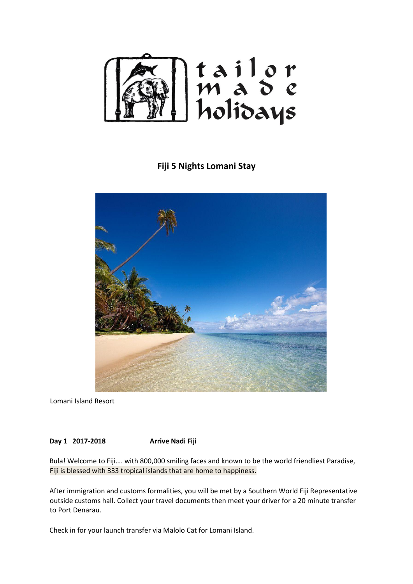

## **Fiji 5 Nights Lomani Stay**



Lomani Island Resort

**Day 1 2017-2018 Arrive Nadi Fiji** 

Bula! Welcome to Fiji…. with 800,000 smiling faces and known to be the world friendliest Paradise, Fiji is blessed with 333 tropical islands that are home to happiness.

After immigration and customs formalities, you will be met by a Southern World Fiji Representative outside customs hall. Collect your travel documents then meet your driver for a 20 minute transfer to Port Denarau.

Check in for your launch transfer via Malolo Cat for Lomani Island.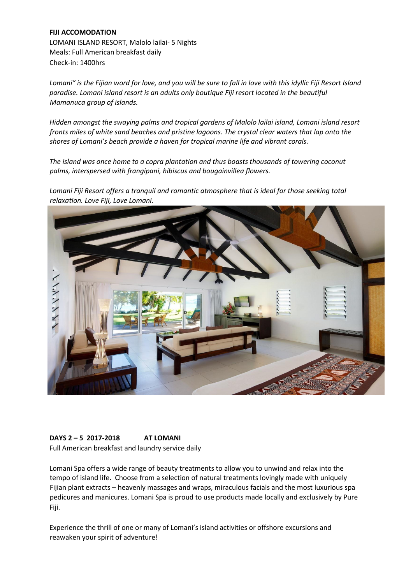## **FIJI ACCOMODATION**  LOMANI ISLAND RESORT, Malolo lailai- 5 Nights Meals: Full American breakfast daily Check-in: 1400hrs

*Lomani" is the Fijian word for love, and you will be sure to fall in love with this idyllic Fiji Resort Island paradise. Lomani island resort is an adults only boutique Fiji resort located in the beautiful Mamanuca group of islands.* 

*Hidden amongst the swaying palms and tropical gardens of Malolo lailai island, Lomani island resort fronts miles of white sand beaches and pristine lagoons. The crystal clear waters that lap onto the shores of Lomani's beach provide a haven for tropical marine life and vibrant corals.* 

*The island was once home to a copra plantation and thus boasts thousands of towering coconut palms, interspersed with frangipani, hibiscus and bougainvillea flowers.* 

*Lomani Fiji Resort offers a tranquil and romantic atmosphere that is ideal for those seeking total relaxation. Love Fiji, Love Lomani.* 



## **DAYS 2 – 5 2017-2018 AT LOMANI**

Full American breakfast and laundry service daily

Lomani Spa offers a wide range of beauty treatments to allow you to unwind and relax into the tempo of island life. Choose from a selection of natural treatments lovingly made with uniquely Fijian plant extracts – heavenly massages and wraps, miraculous facials and the most luxurious spa pedicures and manicures. Lomani Spa is proud to use products made locally and exclusively by Pure Fiji.

Experience the thrill of one or many of Lomani's island activities or offshore excursions and reawaken your spirit of adventure!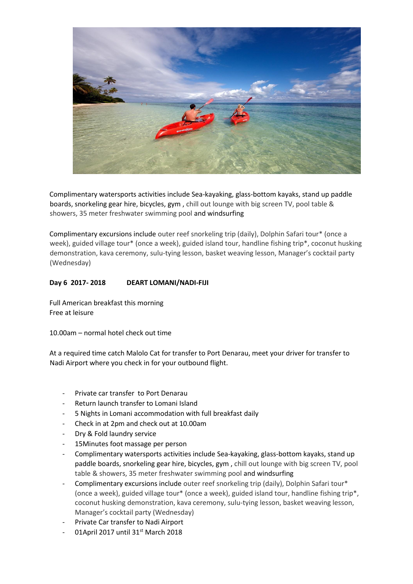

Complimentary watersports activities include Sea-kayaking, glass-bottom kayaks, stand up paddle boards, snorkeling gear hire, bicycles, gym , chill out lounge with big screen TV, pool table & showers, 35 meter freshwater swimming pool and windsurfing

Complimentary excursions include outer reef snorkeling trip (daily), Dolphin Safari tour\* (once a week), guided village tour\* (once a week), guided island tour, handline fishing trip\*, coconut husking demonstration, kava ceremony, sulu-tying lesson, basket weaving lesson, Manager's cocktail party (Wednesday)

## **Day 6 2017- 2018 DEART LOMANI/NADI-FIJI**

Full American breakfast this morning Free at leisure

10.00am – normal hotel check out time

At a required time catch Malolo Cat for transfer to Port Denarau, meet your driver for transfer to Nadi Airport where you check in for your outbound flight.

- Private car transfer to Port Denarau
- Return launch transfer to Lomani Island
- 5 Nights in Lomani accommodation with full breakfast daily
- Check in at 2pm and check out at 10.00am
- Dry & Fold laundry service
- 15Minutes foot massage per person
- Complimentary watersports activities include Sea-kayaking, glass-bottom kayaks, stand up paddle boards, snorkeling gear hire, bicycles, gym , chill out lounge with big screen TV, pool table & showers, 35 meter freshwater swimming pool and windsurfing
- Complimentary excursions include outer reef snorkeling trip (daily), Dolphin Safari tour\* (once a week), guided village tour\* (once a week), guided island tour, handline fishing trip\*, coconut husking demonstration, kava ceremony, sulu-tying lesson, basket weaving lesson, Manager's cocktail party (Wednesday)
- Private Car transfer to Nadi Airport
- 01April 2017 until 31<sup>st</sup> March 2018